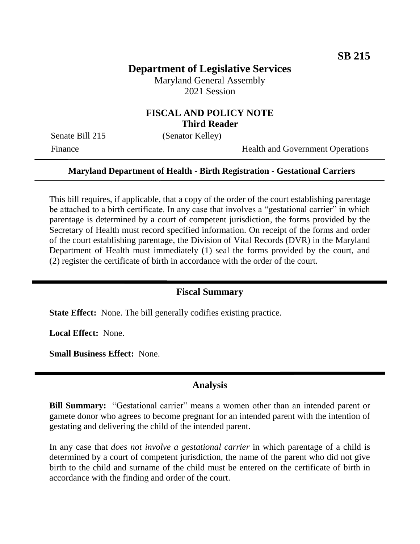# **Department of Legislative Services**

Maryland General Assembly 2021 Session

### **FISCAL AND POLICY NOTE Third Reader**

Senate Bill 215 (Senator Kelley)

Finance Health and Government Operations

#### **Maryland Department of Health - Birth Registration - Gestational Carriers**

This bill requires, if applicable, that a copy of the order of the court establishing parentage be attached to a birth certificate. In any case that involves a "gestational carrier" in which parentage is determined by a court of competent jurisdiction, the forms provided by the Secretary of Health must record specified information. On receipt of the forms and order of the court establishing parentage, the Division of Vital Records (DVR) in the Maryland Department of Health must immediately (1) seal the forms provided by the court, and (2) register the certificate of birth in accordance with the order of the court.

#### **Fiscal Summary**

**State Effect:** None. The bill generally codifies existing practice.

**Local Effect:** None.

**Small Business Effect:** None.

### **Analysis**

**Bill Summary:** "Gestational carrier" means a women other than an intended parent or gamete donor who agrees to become pregnant for an intended parent with the intention of gestating and delivering the child of the intended parent.

In any case that *does not involve a gestational carrier* in which parentage of a child is determined by a court of competent jurisdiction, the name of the parent who did not give birth to the child and surname of the child must be entered on the certificate of birth in accordance with the finding and order of the court.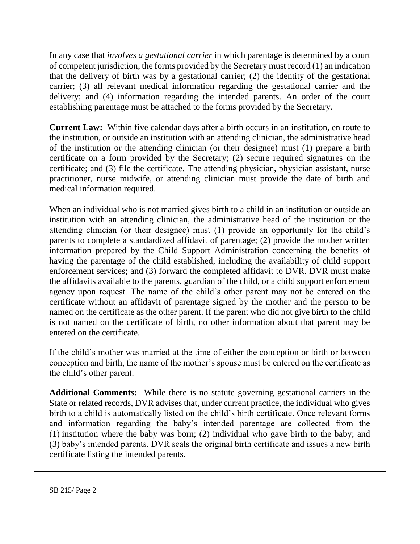In any case that *involves a gestational carrier* in which parentage is determined by a court of competent jurisdiction, the forms provided by the Secretary must record (1) an indication that the delivery of birth was by a gestational carrier; (2) the identity of the gestational carrier; (3) all relevant medical information regarding the gestational carrier and the delivery; and (4) information regarding the intended parents. An order of the court establishing parentage must be attached to the forms provided by the Secretary.

**Current Law:** Within five calendar days after a birth occurs in an institution, en route to the institution, or outside an institution with an attending clinician, the administrative head of the institution or the attending clinician (or their designee) must (1) prepare a birth certificate on a form provided by the Secretary; (2) secure required signatures on the certificate; and (3) file the certificate. The attending physician, physician assistant, nurse practitioner, nurse midwife, or attending clinician must provide the date of birth and medical information required.

When an individual who is not married gives birth to a child in an institution or outside an institution with an attending clinician, the administrative head of the institution or the attending clinician (or their designee) must (1) provide an opportunity for the child's parents to complete a standardized affidavit of parentage; (2) provide the mother written information prepared by the Child Support Administration concerning the benefits of having the parentage of the child established, including the availability of child support enforcement services; and (3) forward the completed affidavit to DVR. DVR must make the affidavits available to the parents, guardian of the child, or a child support enforcement agency upon request. The name of the child's other parent may not be entered on the certificate without an affidavit of parentage signed by the mother and the person to be named on the certificate as the other parent. If the parent who did not give birth to the child is not named on the certificate of birth, no other information about that parent may be entered on the certificate.

If the child's mother was married at the time of either the conception or birth or between conception and birth, the name of the mother's spouse must be entered on the certificate as the child's other parent.

**Additional Comments:** While there is no statute governing gestational carriers in the State or related records, DVR advises that, under current practice, the individual who gives birth to a child is automatically listed on the child's birth certificate. Once relevant forms and information regarding the baby's intended parentage are collected from the (1) institution where the baby was born; (2) individual who gave birth to the baby; and (3) baby's intended parents, DVR seals the original birth certificate and issues a new birth certificate listing the intended parents.